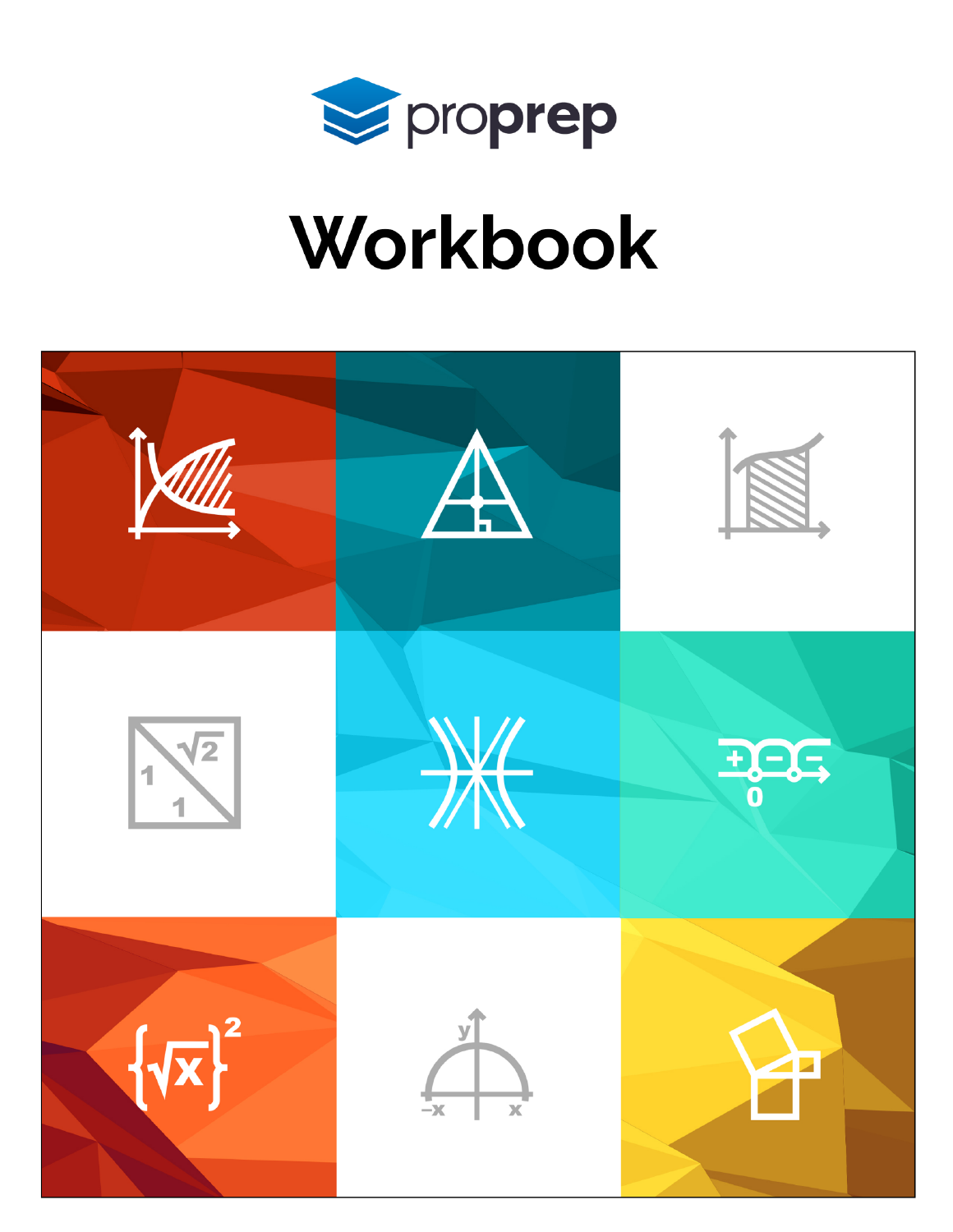

# Workbook

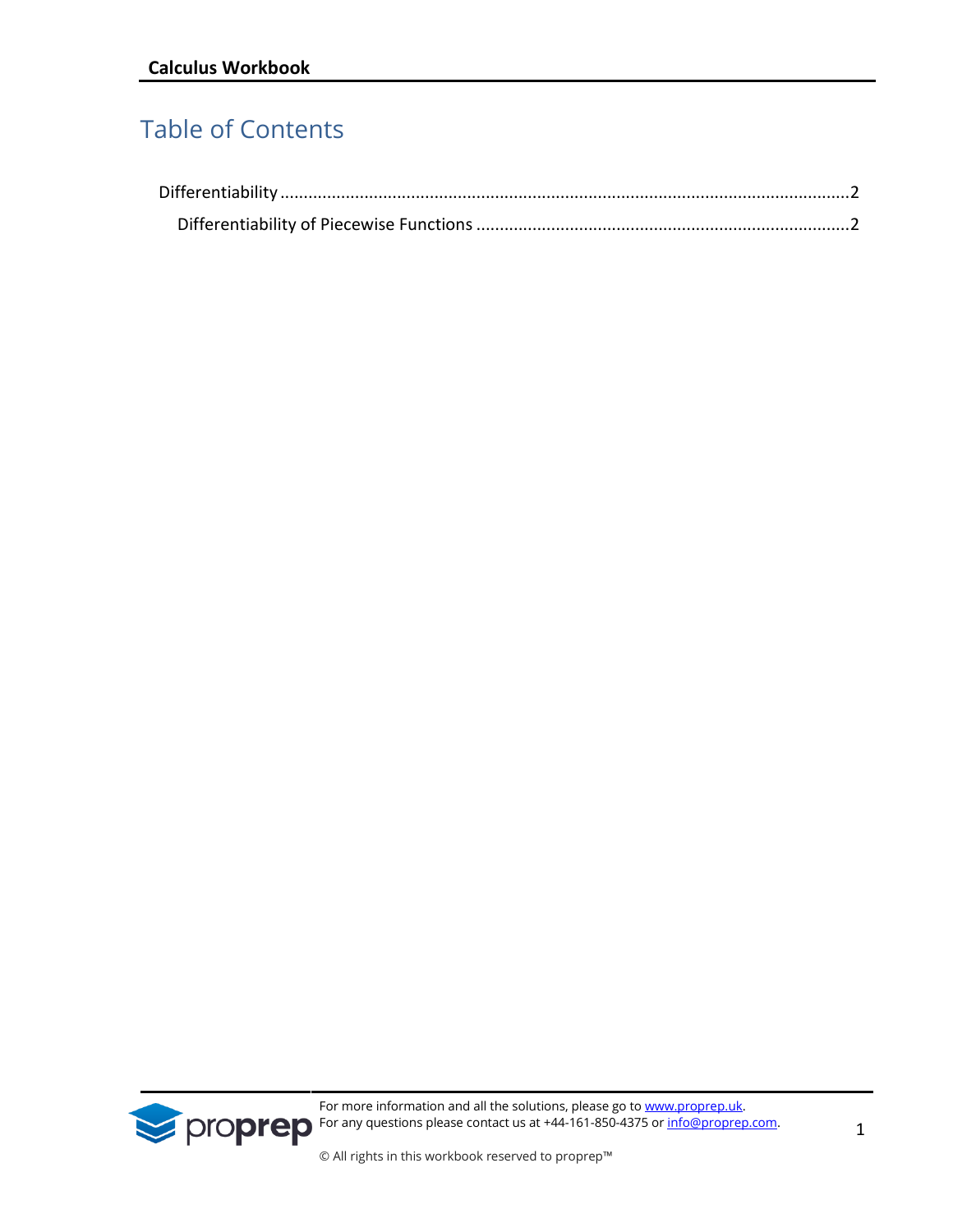## Table of Contents

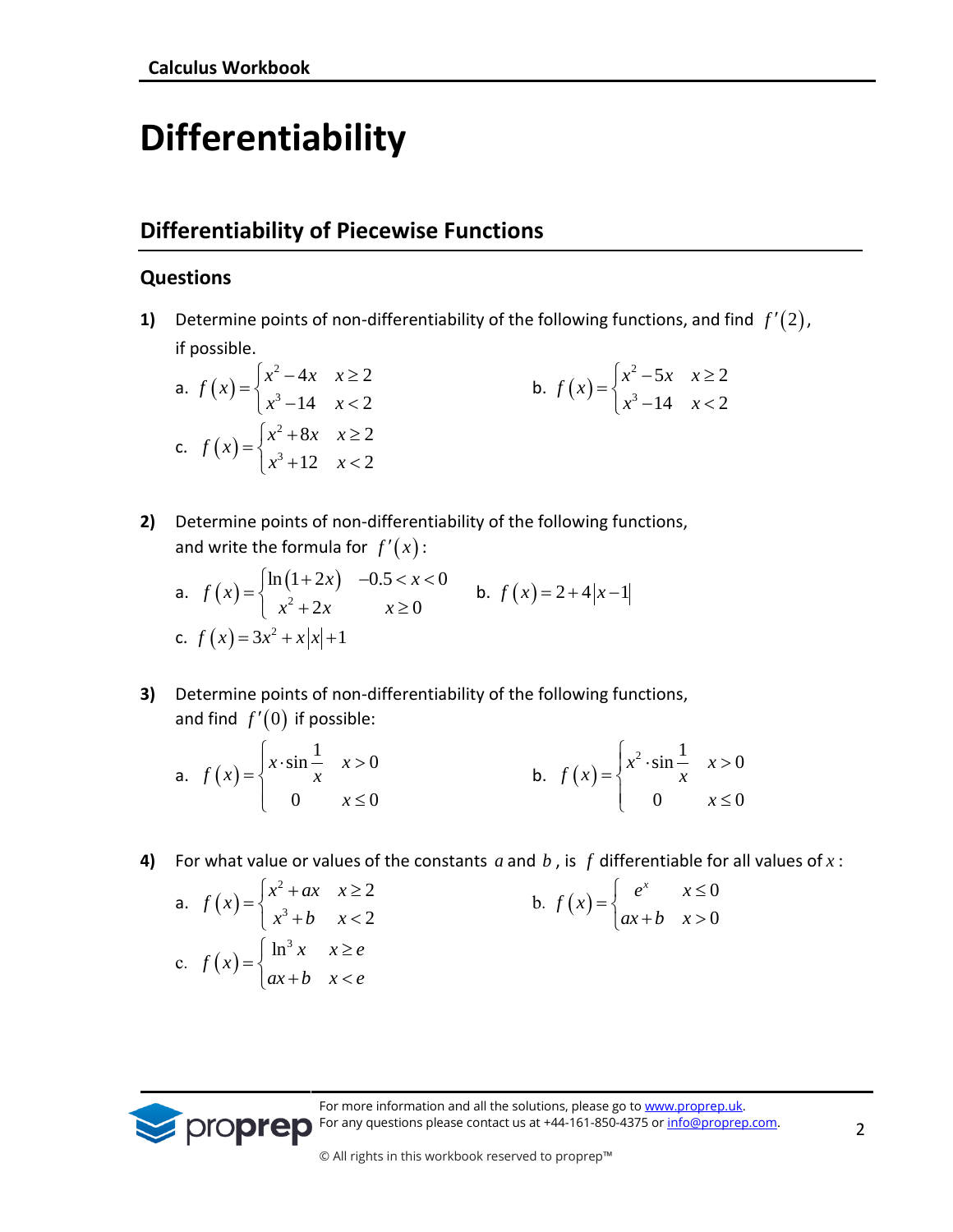# <span id="page-2-0"></span>**Differentiability**

### <span id="page-2-1"></span>**Differentiability of Piecewise Functions**

#### **Questions**

**1)** Determine points of non-differentiability of the following functions, and find *f* (2), if possible.

a. 
$$
f(x) =\begin{cases} x^2 - 4x & x \ge 2 \\ x^3 - 14 & x < 2 \end{cases}
$$
  
b.  $f(x) =\begin{cases} x^2 - 5x & x \ge 2 \\ x^3 - 14 & x < 2 \end{cases}$   
c.  $f(x) =\begin{cases} x^2 + 8x & x \ge 2 \\ x^3 + 12 & x < 2 \end{cases}$ 

**2)** Determine points of non-differentiability of the following functions,

and write the formula for 
$$
f'(x)
$$
:  
\na.  $f(x) = \begin{cases} \ln(1+2x) & -0.5 < x < 0 \\ x^2 + 2x & x \ge 0 \end{cases}$  b.  $f(x) = 2 + 4|x-1|$   
\nc.  $f(x) = 3x^2 + x|x| + 1$ 

**3)** Determine points of non-differentiability of the following functions, and find  $f'(0)$  if possible:

a. 
$$
f(x) = \begin{cases} x \cdot \sin \frac{1}{x} & x > 0 \\ 0 & x \le 0 \end{cases}
$$
 b.  $f(x) = \begin{cases} x^2 \cdot \sin \frac{1}{x} & x > 0 \\ 0 & x \le 0 \end{cases}$ 

**4)** For what value or values of the constants  $a$  and  $b$  , is  $f$  differentiable for all values of  $x$ :

a. 
$$
f(x) = \begin{cases} x^2 + ax & x \ge 2 \\ x^3 + b & x < 2 \end{cases}
$$
  
b.  $f(x) = \begin{cases} e^x & x \le 0 \\ ax + b & x > 0 \end{cases}$   
c.  $f(x) = \begin{cases} \ln^3 x & x \ge e \\ ax + b & x < e \end{cases}$